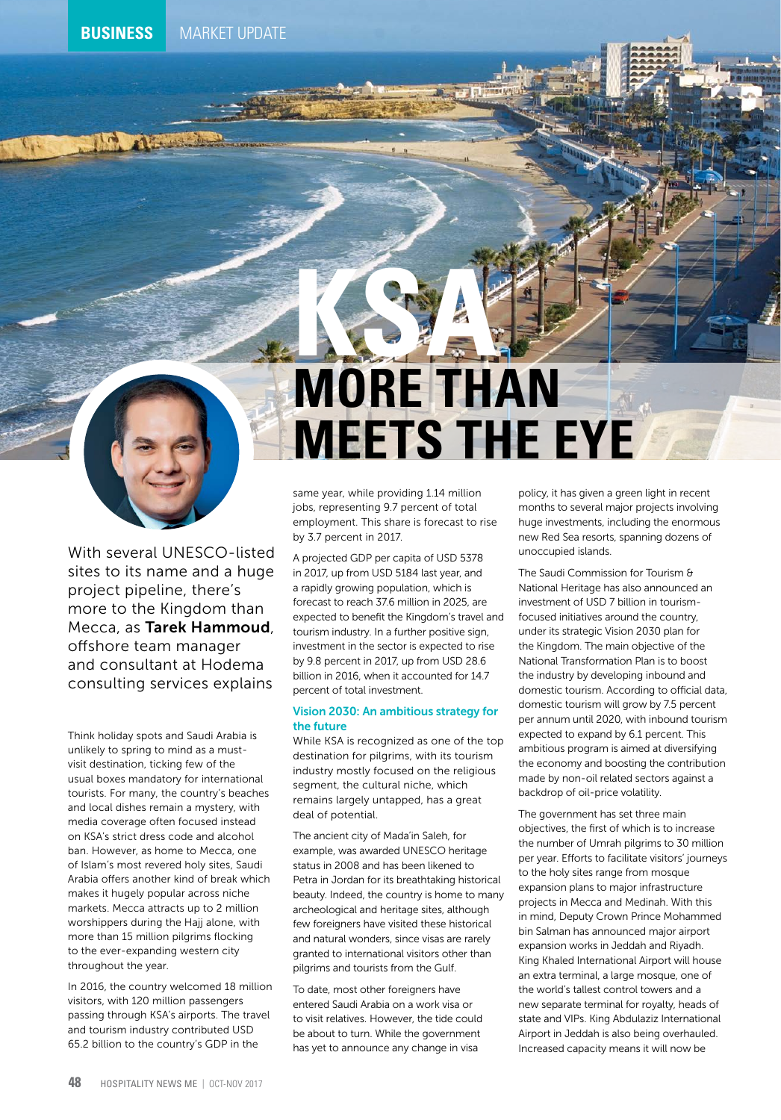

With several UNESCO-listed sites to its name and a huge project pipeline, there's more to the Kingdom than Mecca, as Tarek Hammoud, offshore team manager and consultant at Hodema consulting services explains

Think holiday spots and Saudi Arabia is unlikely to spring to mind as a mustvisit destination, ticking few of the usual boxes mandatory for international tourists. For many, the country's beaches and local dishes remain a mystery, with media coverage often focused instead on KSA's strict dress code and alcohol ban. However, as home to Mecca, one of Islam's most revered holy sites, Saudi Arabia offers another kind of break which makes it hugely popular across niche markets. Mecca attracts up to 2 million worshippers during the Hajj alone, with more than 15 million pilgrims flocking to the ever-expanding western city throughout the year.

In 2016, the country welcomed 18 million visitors, with 120 million passengers passing through KSA's airports. The travel and tourism industry contributed USD 65.2 billion to the country's GDP in the

# **KSA MORE THAN MEETS THE EYE**

same year, while providing 1.14 million jobs, representing 9.7 percent of total employment. This share is forecast to rise by 3.7 percent in 2017.

A projected GDP per capita of USD 5378 in 2017, up from USD 5184 last year, and a rapidly growing population, which is forecast to reach 37.6 million in 2025, are expected to benefit the Kingdom's travel and tourism industry. In a further positive sign, investment in the sector is expected to rise by 9.8 percent in 2017, up from USD 28.6 billion in 2016, when it accounted for 14.7 percent of total investment.

# Vision 2030: An ambitious strategy for the future

While KSA is recognized as one of the top destination for pilgrims, with its tourism industry mostly focused on the religious segment, the cultural niche, which remains largely untapped, has a great deal of potential.

The ancient city of Mada'in Saleh, for example, was awarded UNESCO heritage status in 2008 and has been likened to Petra in Jordan for its breathtaking historical beauty. Indeed, the country is home to many archeological and heritage sites, although few foreigners have visited these historical and natural wonders, since visas are rarely granted to international visitors other than pilgrims and tourists from the Gulf.

To date, most other foreigners have entered Saudi Arabia on a work visa or to visit relatives. However, the tide could be about to turn. While the government has yet to announce any change in visa

policy, it has given a green light in recent months to several major projects involving huge investments, including the enormous new Red Sea resorts, spanning dozens of unoccupied islands.

The Saudi Commission for Tourism & National Heritage has also announced an investment of USD 7 billion in tourismfocused initiatives around the country, under its strategic Vision 2030 plan for the Kingdom. The main objective of the National Transformation Plan is to boost the industry by developing inbound and domestic tourism. According to official data, domestic tourism will grow by 7.5 percent per annum until 2020, with inbound tourism expected to expand by 6.1 percent. This ambitious program is aimed at diversifying the economy and boosting the contribution made by non-oil related sectors against a backdrop of oil-price volatility.

The government has set three main objectives, the first of which is to increase the number of Umrah pilgrims to 30 million per year. Efforts to facilitate visitors' journeys to the holy sites range from mosque expansion plans to major infrastructure projects in Mecca and Medinah. With this in mind, Deputy Crown Prince Mohammed bin Salman has announced major airport expansion works in Jeddah and Riyadh. King Khaled International Airport will house an extra terminal, a large mosque, one of the world's tallest control towers and a new separate terminal for royalty, heads of state and VIPs. King Abdulaziz International Airport in Jeddah is also being overhauled. Increased capacity means it will now be